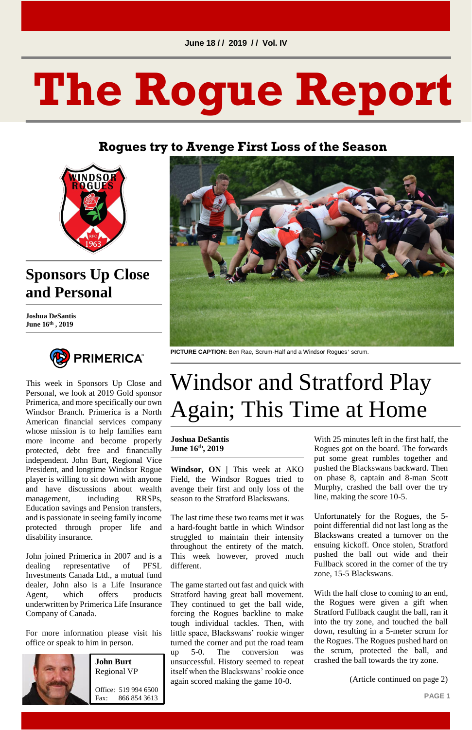**PAGE 1**

# **The Rogue Report**

#### **Rogues try to Avenge First Loss of the Season**



## **Sponsors Up Close and Personal**

**Joshua DeSantis June 16th , 2019**



This week in Sponsors Up Close and Personal, we look at 2019 Gold sponsor Primerica, and more specifically our own Windsor Branch. Primerica is a North American financial services company whose mission is to help families earn more income and become properly protected, debt free and financially independent. John Burt, Regional Vice President, and longtime Windsor Rogue player is willing to sit down with anyone and have discussions about wealth management, including RRSPs, Education savings and Pension transfers, and is passionate in seeing family income protected through proper life and

disability insurance.

John joined Primerica in 2007 and is a dealing representative of PFSL Investments Canada Ltd., a mutual fund dealer, John also is a Life Insurance Agent, which offers products underwritten by Primerica Life Insurance Company of Canada.

For more information please visit his office or speak to him in person.





**PICTURE CAPTION:** Ben Rae, Scrum-Half and a Windsor Rogues' scrum.

# Windsor and Stratford Play Again; This Time at Home

#### **Joshua DeSantis June 16 th, 2019**

**Windsor, ON |** This week at AKO Field, the Windsor Rogues tried to avenge their first and only loss of the season to the Stratford Blackswans.

The last time these two teams met it was a hard-fought battle in which Windsor struggled to maintain their intensity throughout the entirety of the match. This week however, proved much different.

The game started out fast and quick with Stratford having great ball movement. They continued to get the ball wide, forcing the Rogues backline to make tough individual tackles. Then, with little space, Blackswans' rookie winger turned the corner and put the road team up 5-0. The conversion was unsuccessful. History seemed to repeat itself when the Blackswans' rookie once again scored making the game 10-0.

With 25 minutes left in the first half, the Rogues got on the board. The forwards put some great rumbles together and pushed the Blackswans backward. Then on phase 8, captain and 8-man Scott Murphy, crashed the ball over the try line, making the score 10-5.

Unfortunately for the Rogues, the 5 point differential did not last long as the Blackswans created a turnover on the ensuing kickoff. Once stolen, Stratford pushed the ball out wide and their Fullback scored in the corner of the try zone, 15-5 Blackswans.

With the half close to coming to an end, the Rogues were given a gift when Stratford Fullback caught the ball, ran it into the try zone, and touched the ball down, resulting in a 5-meter scrum for the Rogues. The Rogues pushed hard on the scrum, protected the ball, and crashed the ball towards the try zone.

(Article continued on page 2)

**John Burt** Regional VP

Office: 519 994 6500 Fax: 866 854 3613